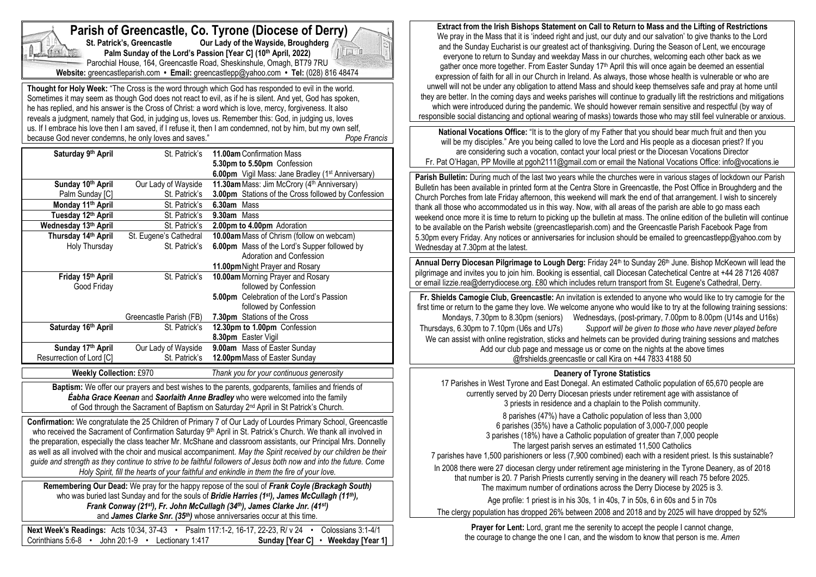| Parish of Greencastle, Co. Tyrone (Diocese of Derry)<br>Our Lady of the Wayside, Broughderg<br>St. Patrick's, Greencastle<br>1<br>Palm Sunday of the Lord's Passion [Year C] (10th April, 2022)<br>Parochial House, 164, Greencastle Road, Sheskinshule, Omagh, BT79 7RU<br>Website: greencastleparish.com • Email: greencastlepp@yahoo.com • Tel: (028) 816 48474 |                         |                                                                                                                                                                                                                                                                                                                                                                                                                                                                                                                                                                                                                                                                                              |  |  |  |
|--------------------------------------------------------------------------------------------------------------------------------------------------------------------------------------------------------------------------------------------------------------------------------------------------------------------------------------------------------------------|-------------------------|----------------------------------------------------------------------------------------------------------------------------------------------------------------------------------------------------------------------------------------------------------------------------------------------------------------------------------------------------------------------------------------------------------------------------------------------------------------------------------------------------------------------------------------------------------------------------------------------------------------------------------------------------------------------------------------------|--|--|--|
| because God never condemns, he only loves and saves."                                                                                                                                                                                                                                                                                                              |                         | Thought for Holy Week: "The Cross is the word through which God has responded to evil in the world.<br>Sometimes it may seem as though God does not react to evil, as if he is silent. And yet, God has spoken,<br>he has replied, and his answer is the Cross of Christ: a word which is love, mercy, forgiveness. It also<br>reveals a judgment, namely that God, in judging us, loves us. Remember this: God, in judging us, loves<br>us. If I embrace his love then I am saved, if I refuse it, then I am condemned, not by him, but my own self,<br>Pope Francis                                                                                                                        |  |  |  |
| Saturday 9th April                                                                                                                                                                                                                                                                                                                                                 | St. Patrick's           | 11.00am Confirmation Mass<br>5.30pm to 5.50pm Confession<br>6.00pm Vigil Mass: Jane Bradley (1 <sup>st</sup> Anniversary)                                                                                                                                                                                                                                                                                                                                                                                                                                                                                                                                                                    |  |  |  |
| Sunday 10th April                                                                                                                                                                                                                                                                                                                                                  | Our Lady of Wayside     | 11.30am Mass: Jim McCrory (4th Anniversary)                                                                                                                                                                                                                                                                                                                                                                                                                                                                                                                                                                                                                                                  |  |  |  |
| Palm Sunday [C]                                                                                                                                                                                                                                                                                                                                                    | St. Patrick's           | 3.00pm Stations of the Cross followed by Confession                                                                                                                                                                                                                                                                                                                                                                                                                                                                                                                                                                                                                                          |  |  |  |
| Monday 11th April                                                                                                                                                                                                                                                                                                                                                  | St. Patrick's           | 6.30am Mass                                                                                                                                                                                                                                                                                                                                                                                                                                                                                                                                                                                                                                                                                  |  |  |  |
| Tuesday 12th April                                                                                                                                                                                                                                                                                                                                                 | St. Patrick's           | 9.30am Mass                                                                                                                                                                                                                                                                                                                                                                                                                                                                                                                                                                                                                                                                                  |  |  |  |
| Wednesday 13th April                                                                                                                                                                                                                                                                                                                                               | St. Patrick's           | 2.00pm to 4.00pm Adoration                                                                                                                                                                                                                                                                                                                                                                                                                                                                                                                                                                                                                                                                   |  |  |  |
| Thursday 14th April                                                                                                                                                                                                                                                                                                                                                | St. Eugene's Cathedral  | 10.00am Mass of Chrism (follow on webcam)                                                                                                                                                                                                                                                                                                                                                                                                                                                                                                                                                                                                                                                    |  |  |  |
| Holy Thursday                                                                                                                                                                                                                                                                                                                                                      | St. Patrick's           | 6.00pm Mass of the Lord's Supper followed by                                                                                                                                                                                                                                                                                                                                                                                                                                                                                                                                                                                                                                                 |  |  |  |
|                                                                                                                                                                                                                                                                                                                                                                    |                         | Adoration and Confession                                                                                                                                                                                                                                                                                                                                                                                                                                                                                                                                                                                                                                                                     |  |  |  |
|                                                                                                                                                                                                                                                                                                                                                                    |                         | 11.00pm Night Prayer and Rosary                                                                                                                                                                                                                                                                                                                                                                                                                                                                                                                                                                                                                                                              |  |  |  |
| Friday 15th April                                                                                                                                                                                                                                                                                                                                                  | St. Patrick's           | 10.00am Morning Prayer and Rosary                                                                                                                                                                                                                                                                                                                                                                                                                                                                                                                                                                                                                                                            |  |  |  |
| Good Friday                                                                                                                                                                                                                                                                                                                                                        |                         | followed by Confession                                                                                                                                                                                                                                                                                                                                                                                                                                                                                                                                                                                                                                                                       |  |  |  |
|                                                                                                                                                                                                                                                                                                                                                                    |                         | 5.00pm Celebration of the Lord's Passion                                                                                                                                                                                                                                                                                                                                                                                                                                                                                                                                                                                                                                                     |  |  |  |
|                                                                                                                                                                                                                                                                                                                                                                    |                         | followed by Confession                                                                                                                                                                                                                                                                                                                                                                                                                                                                                                                                                                                                                                                                       |  |  |  |
|                                                                                                                                                                                                                                                                                                                                                                    | Greencastle Parish (FB) | 7.30pm Stations of the Cross                                                                                                                                                                                                                                                                                                                                                                                                                                                                                                                                                                                                                                                                 |  |  |  |
| Saturday 16th April                                                                                                                                                                                                                                                                                                                                                | St. Patrick's           | 12.30pm to 1.00pm Confession                                                                                                                                                                                                                                                                                                                                                                                                                                                                                                                                                                                                                                                                 |  |  |  |
|                                                                                                                                                                                                                                                                                                                                                                    |                         | 8.30pm Easter Vigil                                                                                                                                                                                                                                                                                                                                                                                                                                                                                                                                                                                                                                                                          |  |  |  |
| Sunday 17th April                                                                                                                                                                                                                                                                                                                                                  | Our Lady of Wayside     | 9.00am Mass of Easter Sunday                                                                                                                                                                                                                                                                                                                                                                                                                                                                                                                                                                                                                                                                 |  |  |  |
| Resurrection of Lord [C]                                                                                                                                                                                                                                                                                                                                           | St. Patrick's           | 12.00pm Mass of Easter Sunday                                                                                                                                                                                                                                                                                                                                                                                                                                                                                                                                                                                                                                                                |  |  |  |
| <b>Weekly Collection: £970</b>                                                                                                                                                                                                                                                                                                                                     |                         | Thank you for your continuous generosity                                                                                                                                                                                                                                                                                                                                                                                                                                                                                                                                                                                                                                                     |  |  |  |
|                                                                                                                                                                                                                                                                                                                                                                    |                         | Baptism: We offer our prayers and best wishes to the parents, godparents, families and friends of<br><b>Éabha Grace Keenan</b> and Saorlaith Anne Bradley who were welcomed into the family<br>of God through the Sacrament of Baptism on Saturday 2 <sup>nd</sup> April in St Patrick's Church.                                                                                                                                                                                                                                                                                                                                                                                             |  |  |  |
|                                                                                                                                                                                                                                                                                                                                                                    |                         | Confirmation: We congratulate the 25 Children of Primary 7 of Our Lady of Lourdes Primary School, Greencastle<br>who received the Sacrament of Confirmation Saturday 9th April in St. Patrick's Church. We thank all involved in<br>the preparation, especially the class teacher Mr. McShane and classroom assistants, our Principal Mrs. Donnelly<br>as well as all involved with the choir and musical accompaniment. May the Spirit received by our children be their<br>guide and strength as they continue to strive to be faithful followers of Jesus both now and into the future. Come<br>Holy Spirit, fill the hearts of your faithful and enkindle in them the fire of your love. |  |  |  |
|                                                                                                                                                                                                                                                                                                                                                                    |                         | Remembering Our Dead: We pray for the happy repose of the soul of Frank Coyle (Brackagh South)<br>who was buried last Sunday and for the souls of Bridie Harries (1st), James McCullagh (11th),<br>Frank Conway (21st), Fr. John McCullagh (34th), James Clarke Jnr. (41st)<br>and James Clarke Snr. (35th) whose anniversaries occur at this time.                                                                                                                                                                                                                                                                                                                                          |  |  |  |
| Corinthians 5:6-8 • John 20:1-9 • Lectionary 1:417                                                                                                                                                                                                                                                                                                                 |                         | Colossians 3:1-4/1<br>Next Week's Readings: Acts 10:34, 37-43 • Psalm 117:1-2, 16-17, 22-23, R/ v 24<br>Sunday [Year C]<br>• Weekday [Year 1]                                                                                                                                                                                                                                                                                                                                                                                                                                                                                                                                                |  |  |  |

**Extract from the Irish Bishops Statement on Call to Return to Mass and the Lifting of Restrictions** We pray in the Mass that it is 'indeed right and just, our duty and our salvation' to give thanks to the Lord and the Sunday Eucharist is our greatest act of thanksgiving. During the Season of Lent, we encourage everyone to return to Sunday and weekday Mass in our churches, welcoming each other back as we gather once more together. From Easter Sunday 17th April this will once again be deemed an essential expression of faith for all in our Church in Ireland. As always, those whose health is vulnerable or who are unwell will not be under any obligation to attend Mass and should keep themselves safe and pray at home until they are better. In the coming days and weeks parishes will continue to gradually lift the restrictions and mitigations which were introduced during the pandemic. We should however remain sensitive and respectful (by way of responsible social distancing and optional wearing of masks) towards those who may still feel vulnerable or anxious.

**National Vocations Office:** "It is to the glory of my Father that you should bear much fruit and then you will be my disciples." Are you being called to love the Lord and His people as a diocesan priest? If you are considering such a vocation, contact your local priest or the Diocesan Vocations Director Fr. Pat O'Hagan, PP Moville at pgoh2111@gmail.com or email the National Vocations Office: info@vocations.ie

**Parish Bulletin:** During much of the last two years while the churches were in various stages of lockdown our Parish Bulletin has been available in printed form at the Centra Store in Greencastle, the Post Office in Broughderg and the Church Porches from late Friday afternoon, this weekend will mark the end of that arrangement. I wish to sincerely thank all those who accommodated us in this way. Now, with all areas of the parish are able to go mass each weekend once more it is time to return to picking up the bulletin at mass. The online edition of the bulletin will continue to be available on the Parish website (greencastleparish.com) and the Greencastle Parish Facebook Page from 5.30pm every Friday. Any notices or anniversaries for inclusion should be emailed to greencastlepp@yahoo.com by Wednesday at 7.30pm at the latest.

Annual Derry Diocesan Pilgrimage to Lough Derg: Friday 24<sup>th</sup> to Sunday 26<sup>th</sup> June. Bishop McKeown will lead the pilgrimage and invites you to join him. Booking is essential, call Diocesan Catechetical Centre at +44 28 7126 4087 or email lizzie.rea@derrydiocese.org. £80 which includes return transport from St. Eugene's Cathedral, Derry.

**Fr. Shields Camogie Club, Greencastle:** An invitation is extended to anyone who would like to try camogie for the first time or return to the game they love. We welcome anyone who would like to try at the following training sessions: Mondays, 7.30pm to 8.30pm (seniors) Wednesdays, (post-primary, 7.00pm to 8.00pm (U14s and U16s) Thursdays, 6.30pm to 7.10pm (U6s and U7s) *Support will be given to those who have never played before* We can assist with online registration, sticks and helmets can be provided during training sessions and matches Add our club page and message us or come on the nights at the above times @frshields.greencastle or call Kira on +44 7833 4188 50

## **Deanery of Tyrone Statistics**

17 Parishes in West Tyrone and East Donegal. An estimated Catholic population of 65,670 people are currently served by 20 Derry Diocesan priests under retirement age with assistance of 3 priests in residence and a chaplain to the Polish community. 8 parishes (47%) have a Catholic population of less than 3,000 6 parishes (35%) have a Catholic population of 3,000-7,000 people 3 parishes (18%) have a Catholic population of greater than 7,000 people The largest parish serves an estimated 11,500 Catholics 7 parishes have 1,500 parishioners or less (7,900 combined) each with a resident priest. Is this sustainable? In 2008 there were 27 diocesan clergy under retirement age ministering in the Tyrone Deanery, as of 2018 that number is 20. 7 Parish Priests currently serving in the deanery will reach 75 before 2025. The maximum number of ordinations across the Derry Diocese by 2025 is 3. Age profile: 1 priest is in his 30s, 1 in 40s, 7 in 50s, 6 in 60s and 5 in 70s

The clergy population has dropped 26% between 2008 and 2018 and by 2025 will have dropped by 52%

**Prayer for Lent:** Lord, grant me the serenity to accept the people I cannot change, the courage to change the one I can, and the wisdom to know that person is me. *Amen*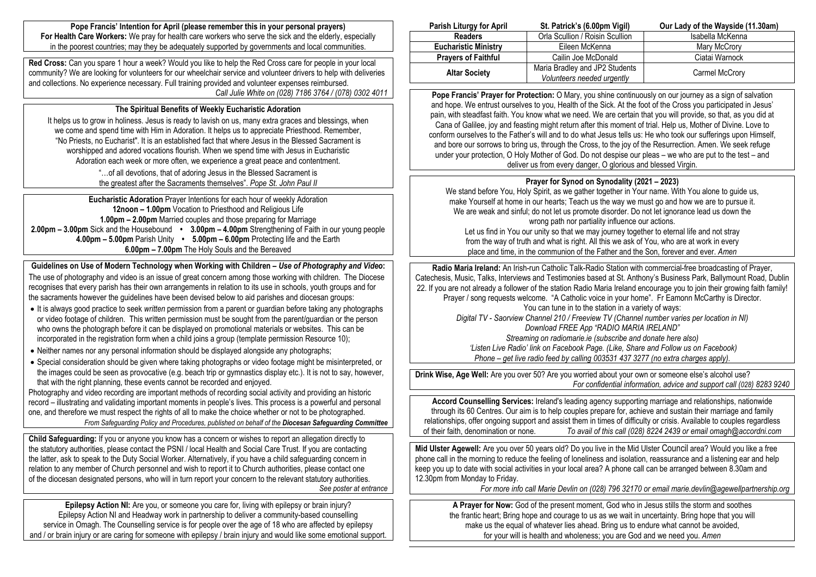**Pope Francis' Intention for April (please remember this in your personal prayers) For Health Care Workers:** We pray for health care workers who serve the sick and the elderly, especially in the poorest countries; may they be adequately supported by governments and local communities.

**Red Cross:** Can you spare 1 hour a week? Would you like to help the Red Cross care for people in your local community? We are looking for volunteers for our wheelchair service and volunteer drivers to help with deliveries and collections. No experience necessary. Full training provided and volunteer expenses reimbursed. *Call Julie White on (028) 7186 3764 / (078) 0302 4011*

## **The Spiritual Benefits of Weekly Eucharistic Adoration**

It helps us to grow in holiness. Jesus is ready to lavish on us, many extra graces and blessings, when we come and spend time with Him in Adoration. It helps us to appreciate Priesthood. Remember, "No Priests, no Eucharist". It is an established fact that where Jesus in the Blessed Sacrament is worshipped and adored vocations flourish. When we spend time with Jesus in Eucharistic Adoration each week or more often, we experience a great peace and contentment.

> "…of all devotions, that of adoring Jesus in the Blessed Sacrament is the greatest after the Sacraments themselves". *Pope St. John Paul II*

**Eucharistic Adoration** Prayer Intentions for each hour of weekly Adoration **12noon – 1.00pm** Vocation to Priesthood and Religious Life **1.00pm – 2.00pm** Married couples and those preparing for Marriage **2.00pm – 3.00pm** Sick and the Housebound **• 3.00pm – 4.00pm** Strengthening of Faith in our young people **4.00pm – 5.00pm** Parish Unity **• 5.00pm – 6.00pm** Protecting life and the Earth **6.00pm – 7.00pm** The Holy Souls and the Bereaved

**Guidelines on Use of Modern Technology when Working with Children –** *Use of Photography and Video***:** The use of photography and video is an issue of great concern among those working with children. The Diocese recognises that every parish has their own arrangements in relation to its use in schools, youth groups and for the sacraments however the guidelines have been devised below to aid parishes and diocesan groups:

- It is always good practice to seek *written* permission from a parent or guardian before taking any photographs or video footage of children. This written permission must be sought from the parent/guardian or the person who owns the photograph before it can be displayed on promotional materials or websites. This can be incorporated in the registration form when a child joins a group (template permission Resource 10);
- Neither names nor any personal information should be displayed alongside any photographs;
- Special consideration should be given where taking photographs or video footage might be misinterpreted, or the images could be seen as provocative (e.g. beach trip or gymnastics display etc.). It is not to say, however, that with the right planning, these events cannot be recorded and enjoyed.

Photography and video recording are important methods of recording social activity and providing an historic record – illustrating and validating important moments in people's lives. This process is a powerful and personal one, and therefore we must respect the rights of all to make the choice whether or not to be photographed. *From Safeguarding Policy and Procedures, published on behalf of the Diocesan Safeguarding Committee*

**Child Safeguarding:** If you or anyone you know has a concern or wishes to report an allegation directly to the statutory authorities, please contact the PSNI / local Health and Social Care Trust. If you are contacting the latter, ask to speak to the Duty Social Worker. Alternatively, if you have a child safeguarding concern in relation to any member of Church personnel and wish to report it to Church authorities, please contact one of the diocesan designated persons, who will in turn report your concern to the relevant statutory authorities. *See poster at entrance*

**Epilepsy Action NI:** Are you, or someone you care for, living with epilepsy or brain injury? Epilepsy Action NI and Headway work in partnership to deliver a community-based counselling service in Omagh. The Counselling service is for people over the age of 18 who are affected by epilepsy and / or brain injury or are caring for someone with epilepsy / brain injury and would like some emotional support.

| <b>Parish Liturgy for April</b> | St. Patrick's (6.00pm Vigil)    | Our Lady of the Wayside (11.30am) |  |
|---------------------------------|---------------------------------|-----------------------------------|--|
| <b>Readers</b>                  | Orla Scullion / Roisin Scullion | Isabella McKenna                  |  |
| <b>Eucharistic Ministry</b>     | Eileen McKenna                  | Mary McCrory                      |  |
| <b>Pravers of Faithful</b>      | Cailin Joe McDonald             | Ciatai Warnock                    |  |
| <b>Altar Society</b>            | Maria Bradley and JP2 Students  | Carmel McCrory                    |  |
|                                 | Volunteers needed urgently      |                                   |  |

**Pope Francis' Prayer for Protection:** O Mary, you shine continuously on our journey as a sign of salvation and hope. We entrust ourselves to you, Health of the Sick. At the foot of the Cross you participated in Jesus' pain, with steadfast faith. You know what we need. We are certain that you will provide, so that, as you did at Cana of Galilee, joy and feasting might return after this moment of trial. Help us, Mother of Divine. Love to conform ourselves to the Father's will and to do what Jesus tells us: He who took our sufferings upon Himself, and bore our sorrows to bring us, through the Cross, to the joy of the Resurrection. Amen. We seek refuge under your protection, O Holy Mother of God. Do not despise our pleas – we who are put to the test – and deliver us from every danger, O glorious and blessed Virgin.

# **Prayer for Synod on Synodality (2021 – 2023)**

We stand before You, Holy Spirit, as we gather together in Your name. With You alone to guide us, make Yourself at home in our hearts; Teach us the way we must go and how we are to pursue it. We are weak and sinful; do not let us promote disorder. Do not let ignorance lead us down the wrong path nor partiality influence our actions.

Let us find in You our unity so that we may journey together to eternal life and not stray from the way of truth and what is right. All this we ask of You, who are at work in every place and time, in the communion of the Father and the Son, forever and ever. *Amen*

**Radio Maria Ireland:** An Irish-run Catholic Talk-Radio Station with commercial-free broadcasting of Prayer, Catechesis, Music, Talks, Interviews and Testimonies based at St. Anthony's Business Park, Ballymount Road, Dublin 22. If you are not already a follower of the station Radio Maria Ireland encourage you to join their growing faith family! Prayer / song requests welcome. "A Catholic voice in your home". Fr Eamonn McCarthy is Director. You can tune in to the station in a variety of ways: *Digital TV - Saorview Channel 210 / Freeview TV (Channel number varies per location in NI) Download FREE App "RADIO MARIA IRELAND" Streaming on radiomarie.ie (subscribe and donate here also) 'Listen Live Radio' link on Facebook Page. (Like, Share and Follow us on Facebook) Phone – get live radio feed by calling 003531 437 3277 (no extra charges apply).*

**Drink Wise, Age Well:** Are you over 50? Are you worried about your own or someone else's alcohol use? *For confidential information, advice and support call (028) 8283 9240*

**Accord Counselling Services:** Ireland's leading agency supporting marriage and relationships, nationwide through its 60 Centres. Our aim is to help couples prepare for, achieve and sustain their marriage and family relationships, offer ongoing support and assist them in times of difficulty or crisis. Available to couples regardless of their faith, denomination or none. *To avail of this call (028) 8224 2439 or email omagh@accordni.com*

**Mid Ulster Agewell:** Are you over 50 years old? Do you live in the Mid Ulster Council area? Would you like a free phone call in the morning to reduce the feeling of loneliness and isolation, reassurance and a listening ear and help keep you up to date with social activities in your local area? A phone call can be arranged between 8.30am and 12.30pm from Monday to Friday.

*For more info call Marie Devlin on (028) 796 32170 or email [marie.devlin@agewellpartnership.org](mailto:marie.devlin@agewellpartnership.org)*

**A Prayer for Now:** God of the present moment, God who in Jesus stills the storm and soothes the frantic heart; Bring hope and courage to us as we wait in uncertainty. Bring hope that you will make us the equal of whatever lies ahead. Bring us to endure what cannot be avoided. for your will is health and wholeness; you are God and we need you. *Amen*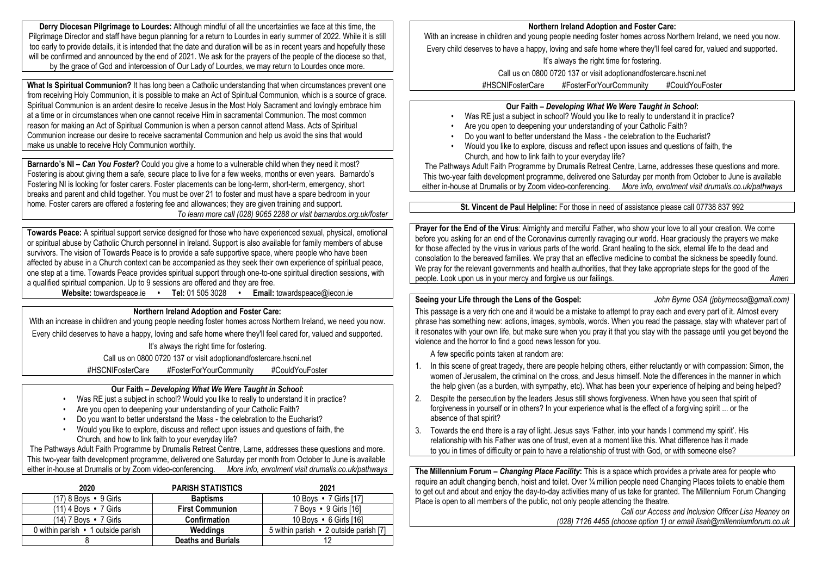**Derry Diocesan Pilgrimage to Lourdes:** Although mindful of all the uncertainties we face at this time, the Pilgrimage Director and staff have begun planning for a return to Lourdes in early summer of 2022. While it is still too early to provide details, it is intended that the date and duration will be as in recent years and hopefully these will be confirmed and announced by the end of 2021. We ask for the prayers of the people of the diocese so that, by the grace of God and intercession of Our Lady of Lourdes, we may return to Lourdes once more.

**What Is Spiritual Communion?** It has long been a Catholic understanding that when circumstances prevent one from receiving Holy Communion, it is possible to make an Act of Spiritual Communion, which is a source of grace. Spiritual Communion is an ardent desire to receive Jesus in the Most Holy Sacrament and lovingly embrace him at a time or in circumstances when one cannot receive Him in sacramental Communion. The most common reason for making an Act of Spiritual Communion is when a person cannot attend Mass. Acts of Spiritual Communion increase our desire to receive sacramental Communion and help us avoid the sins that would make us unable to receive Holy Communion worthily.

**Barnardo's NI –** *Can You Foster***?** Could you give a home to a vulnerable child when they need it most? Fostering is about giving them a safe, secure place to live for a few weeks, months or even years. Barnardo's Fostering NI is looking for foster carers. Foster placements can be long-term, short-term, emergency, short breaks and parent and child together. You must be over 21 to foster and must have a spare bedroom in your home. Foster carers are offered a fostering fee and allowances; they are given training and support. *To learn more call (028) 9065 2288 or visit barnardos.org.uk/foster*

**Towards Peace:** A spiritual support service designed for those who have experienced sexual, physical, emotional or spiritual abuse by Catholic Church personnel in Ireland. Support is also available for family members of abuse survivors. The vision of Towards Peace is to provide a safe supportive space, where people who have been affected by abuse in a Church context can be accompanied as they seek their own experience of spiritual peace, one step at a time. Towards Peace provides spiritual support through one-to-one spiritual direction sessions, with a qualified spiritual companion. Up to 9 sessions are offered and they are free.

**Website:** towardspeace.ie **• Tel:** 01 505 3028 **• Email:** [towardspeace@iecon.ie](mailto:towardspeace@iecon.ie)

# **Northern Ireland Adoption and Foster Care:**

With an increase in children and young people needing foster homes across Northern Ireland, we need you now. Every child deserves to have a happy, loving and safe home where they'll feel cared for, valued and supported. It's always the right time for fostering.

Call us on 0800 0720 137 or visit adoptionandfostercare.hscni.net

#HSCNIFosterCare #FosterForYourCommunity #CouldYouFoster

## **Our Faith –** *Developing What We Were Taught in School***:**

- Was RE just a subject in school? Would you like to really to understand it in practice?
- Are you open to deepening your understanding of your Catholic Faith?
- Do you want to better understand the Mass the celebration to the Eucharist?
- Would you like to explore, discuss and reflect upon issues and questions of faith, the Church, and how to link faith to your everyday life?

The Pathways Adult Faith Programme by Drumalis Retreat Centre, Larne, addresses these questions and more. This two-year faith development programme, delivered one Saturday per month from October to June is available either in-house at Drumalis or by Zoom video-conferencing. *More info, enrolment visit drumalis.co.uk/pathways*

| 2020                               | <b>PARISH STATISTICS</b>  | 2021                                   |
|------------------------------------|---------------------------|----------------------------------------|
| $(17)$ 8 Boys $\cdot$ 9 Girls      | <b>Baptisms</b>           | 10 Boys • 7 Girls [17]                 |
| $(11)$ 4 Bovs $\cdot$ 7 Girls      | <b>First Communion</b>    | 7 Boys • 9 Girls [16]                  |
| $(14)$ 7 Boys $\cdot$ 7 Girls      | Confirmation              | 10 Boys • 6 Girls [16]                 |
| 0 within parish • 1 outside parish | Weddings                  | 5 within parish • 2 outside parish [7] |
|                                    | <b>Deaths and Burials</b> | 12                                     |

#### **Northern Ireland Adoption and Foster Care:**

With an increase in children and young people needing foster homes across Northern Ireland, we need you now. Every child deserves to have a happy, loving and safe home where they'll feel cared for, valued and supported.

It's always the right time for fostering.

Call us on 0800 0720 137 or visit adoptionandfostercare.hscni.net

#HSCNIFosterCare #FosterForYourCommunity #CouldYouFoster

# **Our Faith –** *Developing What We Were Taught in School***:**

- Was RE just a subject in school? Would you like to really to understand it in practice?
- Are you open to deepening your understanding of your Catholic Faith?
- Do you want to better understand the Mass the celebration to the Eucharist?
- Would you like to explore, discuss and reflect upon issues and questions of faith, the Church, and how to link faith to your everyday life?

The Pathways Adult Faith Programme by Drumalis Retreat Centre, Larne, addresses these questions and more. This two-year faith development programme, delivered one Saturday per month from October to June is available either in-house at Drumalis or by Zoom video-conferencing. *More info, enrolment visit drumalis.co.uk/pathways*

**St. Vincent de Paul Helpline:** For those in need of assistance please call 07738 837 992

**Prayer for the End of the Virus**: Almighty and merciful Father, who show your love to all your creation. We come before you asking for an end of the Coronavirus currently ravaging our world. Hear graciously the prayers we make for those affected by the virus in various parts of the world. Grant healing to the sick, eternal life to the dead and consolation to the bereaved families. We pray that an effective medicine to combat the sickness be speedily found. We pray for the relevant governments and health authorities, that they take appropriate steps for the good of the people. Look upon us in your mercy and forgive us our failings. *Amen*

## **Seeing your Life through the Lens of the Gospel:** *John Byrne OSA (jpbyrneosa@gmail.com)*

This passage is a very rich one and it would be a mistake to attempt to pray each and every part of it. Almost every phrase has something new: actions, images, symbols, words. When you read the passage, stay with whatever part of it resonates with your own life, but make sure when you pray it that you stay with the passage until you get beyond the violence and the horror to find a good news lesson for you.

A few specific points taken at random are:

- 1. In this scene of great tragedy, there are people helping others, either reluctantly or with compassion: Simon, the women of Jerusalem, the criminal on the cross, and Jesus himself. Note the differences in the manner in which the help given (as a burden, with sympathy, etc). What has been your experience of helping and being helped?
- 2. Despite the persecution by the leaders Jesus still shows forgiveness. When have you seen that spirit of forgiveness in yourself or in others? In your experience what is the effect of a forgiving spirit ... or the absence of that spirit?
- 3. Towards the end there is a ray of light. Jesus says 'Father, into your hands I commend my spirit'. His relationship with his Father was one of trust, even at a moment like this. What difference has it made to you in times of difficulty or pain to have a relationship of trust with God, or with someone else?

**The Millennium Forum –** *Changing Place Facility***:** This is a space which provides a private area for people who require an adult changing bench, hoist and toilet. Over ¼ million people need Changing Places toilets to enable them to get out and about and enjoy the day-to-day activities many of us take for granted. The Millennium Forum Changing Place is open to all members of the public, not only people attending the theatre.

*Call our Access and Inclusion Officer Lisa Heaney on (028) 7126 4455 (choose option 1) or email lisah@millenniumforum.co.uk*